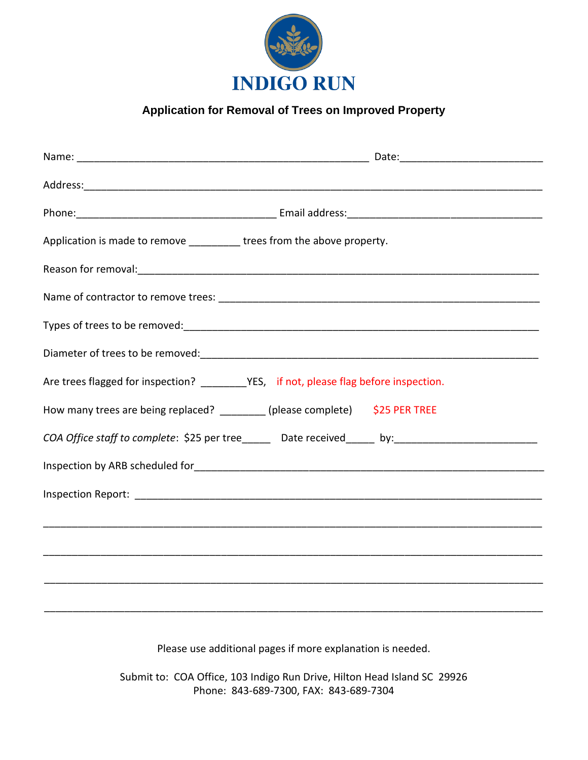

## **Application for Removal of Trees on Improved Property**

| Application is made to remove __________ trees from the above property.                              |  |
|------------------------------------------------------------------------------------------------------|--|
|                                                                                                      |  |
|                                                                                                      |  |
|                                                                                                      |  |
|                                                                                                      |  |
| Are trees flagged for inspection? __________YES, if not, please flag before inspection.              |  |
| How many trees are being replaced? ________ (please complete) \$25 PER TREE                          |  |
| COA Office staff to complete: \$25 per tree______ Date received_____ by:____________________________ |  |
|                                                                                                      |  |
|                                                                                                      |  |
|                                                                                                      |  |
|                                                                                                      |  |
|                                                                                                      |  |
|                                                                                                      |  |

Please use additional pages if more explanation is needed.

Submit to: COA Office, 103 Indigo Run Drive, Hilton Head Island SC 29926 Phone: 843-689-7300, FAX: 843-689-7304